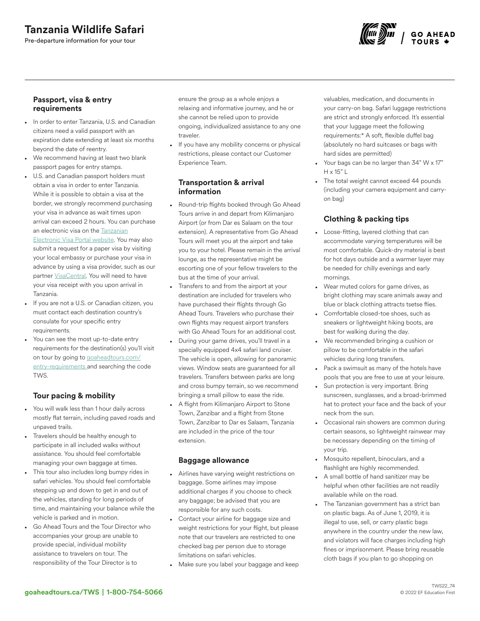# Tanzania Wildlife Safari

Pre-departure information for your tour



#### Passport, visa & entry requirements

- In order to enter Tanzania, U.S. and Canadian citizens need a valid passport with an expiration date extending at least six months beyond the date of reentry.
- We recommend having at least two blank passport pages for entry stamps.
- U.S. and Canadian passport holders must obtain a visa in order to enter Tanzania. While it is possible to obtain a visa at the border, we strongly recommend purchasing your visa in advance as wait times upon arrival can exceed 2 hours. You can purchase an electronic visa on the [Tanzanian](https://eservices.immigration.go.tz/visa/) [Electronic Visa Portal website](https://eservices.immigration.go.tz/visa/). You may also submit a request for a paper visa by visiting your local embassy or purchase your visa in advance by using a visa provider, such as our partner [VisaCentral.](https://www.visacentral.com/goaheadtours) You will need to have your visa receipt with you upon arrival in Tanzania.
- If you are not a U.S. or Canadian citizen, you must contact each destination country's consulate for your specific entry requirements.
- You can see the most up-to-date entry requirements for the destination(s) you'll visit on tour by going to [goaheadtours.com/](/entry-requirements?tourCode=TWS) [entry-requirements](/entry-requirements?tourCode=TWS) and searching the code TWS.

## Tour pacing & mobility

- You will walk less than 1 hour daily across mostly flat terrain, including paved roads and unpaved trails.
- Travelers should be healthy enough to participate in all included walks without assistance. You should feel comfortable managing your own baggage at times.
- This tour also includes long bumpy rides in safari vehicles. You should feel comfortable stepping up and down to get in and out of the vehicles, standing for long periods of time, and maintaining your balance while the vehicle is parked and in motion.
- Go Ahead Tours and the Tour Director who accompanies your group are unable to provide special, individual mobility assistance to travelers on tour. The responsibility of the Tour Director is to

ensure the group as a whole enjoys a relaxing and informative journey, and he or she cannot be relied upon to provide ongoing, individualized assistance to any one traveler.

If you have any mobility concerns or physical restrictions, please contact our Customer Experience Team.

#### Transportation & arrival information

- Round-trip flights booked through Go Ahead Tours arrive in and depart from Kilimanjaro Airport (or from Dar es Salaam on the tour extension). A representative from Go Ahead Tours will meet you at the airport and take you to your hotel. Please remain in the arrival lounge, as the representative might be escorting one of your fellow travelers to the bus at the time of your arrival.
- Transfers to and from the airport at your destination are included for travelers who have purchased their flights through Go Ahead Tours. Travelers who purchase their own flights may request airport transfers with Go Ahead Tours for an additional cost.
- During your game drives, you'll travel in a specially equipped 4x4 safari land cruiser. The vehicle is open, allowing for panoramic views. Window seats are guaranteed for all travelers. Transfers between parks are long and cross bumpy terrain, so we recommend bringing a small pillow to ease the ride.
- A flight from Kilimanjaro Airport to Stone Town, Zanzibar and a flight from Stone Town, Zanzibar to Dar es Salaam, Tanzania are included in the price of the tour extension.

#### Baggage allowance

- Airlines have varying weight restrictions on baggage. Some airlines may impose additional charges if you choose to check any baggage; be advised that you are responsible for any such costs.
- Contact your airline for baggage size and weight restrictions for your flight, but please note that our travelers are restricted to one checked bag per person due to storage limitations on safari vehicles.
- Make sure you label your baggage and keep

valuables, medication, and documents in your carry-on bag. Safari luggage restrictions are strict and strongly enforced. It's essential that your luggage meet the following requirements:\* A soft, flexible duffel bag (absolutely no hard suitcases or bags with hard sides are permitted)

- Your bags can be no larger than 34" W x 17" H x 15" L
- The total weight cannot exceed 44 pounds (including your camera equipment and carryon bag)

## Clothing & packing tips

- Loose-fitting, layered clothing that can accommodate varying temperatures will be most comfortable. Quick-dry material is best for hot days outside and a warmer layer may be needed for chilly evenings and early mornings.
- Wear muted colors for game drives, as bright clothing may scare animals away and blue or black clothing attracts tsetse flies.
- Comfortable closed-toe shoes, such as sneakers or lightweight hiking boots, are best for walking during the day.
- We recommended bringing a cushion or pillow to be comfortable in the safari vehicles during long transfers.
- Pack a swimsuit as many of the hotels have pools that you are free to use at your leisure.
- Sun protection is very important. Bring sunscreen, sunglasses, and a broad-brimmed hat to protect your face and the back of your neck from the sun.
- Occasional rain showers are common during certain seasons, so lightweight rainwear may be necessary depending on the timing of your trip.
- Mosquito repellent, binoculars, and a flashlight are highly recommended.
- A small bottle of hand sanitizer may be helpful when other facilities are not readily available while on the road.
- The Tanzanian government has a strict ban on plastic bags. As of June 1, 2019, it is illegal to use, sell, or carry plastic bags anywhere in the country under the new law, and violators will face charges including high fines or imprisonment. Please bring reusable cloth bags if you plan to go shopping on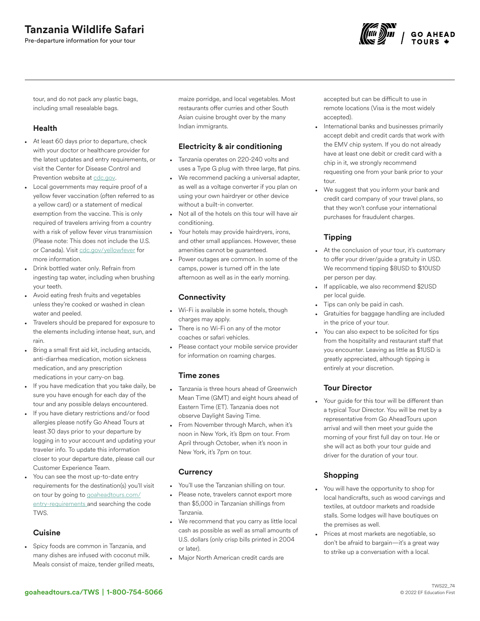## Tanzania Wildlife Safari

Pre-departure information for your tour



tour, and do not pack any plastic bags, including small resealable bags.

#### Health

- At least 60 days prior to departure, check with your doctor or healthcare provider for the latest updates and entry requirements, or visit the Center for Disease Control and Prevention website at [cdc.gov](https://www.cdc.gov/).
- Local governments may require proof of a yellow fever vaccination (often referred to as a yellow card) or a statement of medical exemption from the vaccine. This is only required of travelers arriving from a country with a risk of yellow fever virus transmission (Please note: This does not include the U.S. or Canada). Visit [cdc.gov/yellowfever](https://www.cdc.gov/yellowfever) for more information.
- Drink bottled water only. Refrain from ingesting tap water, including when brushing your teeth.
- Avoid eating fresh fruits and vegetables unless they're cooked or washed in clean water and peeled.
- Travelers should be prepared for exposure to the elements including intense heat, sun, and rain.
- Bring a small first aid kit, including antacids, anti-diarrhea medication, motion sickness medication, and any prescription medications in your carry-on bag.
- If you have medication that you take daily, be sure you have enough for each day of the tour and any possible delays encountered.
- If you have dietary restrictions and/or food allergies please notify Go Ahead Tours at least 30 days prior to your departure by logging in to your account and updating your traveler info. To update this information closer to your departure date, please call our Customer Experience Team.
- You can see the most up-to-date entry requirements for the destination(s) you'll visit on tour by going to [goaheadtours.com/](/entry-requirements?tourCode=TWS) [entry-requirements](/entry-requirements?tourCode=TWS) and searching the code TWS.

#### **Cuisine**

• Spicy foods are common in Tanzania, and many dishes are infused with coconut milk. Meals consist of maize, tender grilled meats,

maize porridge, and local vegetables. Most restaurants offer curries and other South Asian cuisine brought over by the many Indian immigrants.

### Electricity & air conditioning

- Tanzania operates on 220-240 volts and uses a Type G plug with three large, flat pins.
- We recommend packing a universal adapter, as well as a voltage converter if you plan on using your own hairdryer or other device without a built-in converter.
- Not all of the hotels on this tour will have air conditioning.
- Your hotels may provide hairdryers, irons, and other small appliances. However, these amenities cannot be guaranteed.
- Power outages are common. In some of the camps, power is turned off in the late afternoon as well as in the early morning.

#### **Connectivity**

- Wi-Fi is available in some hotels, though charges may apply.
- There is no Wi-Fi on any of the motor coaches or safari vehicles.
- Please contact your mobile service provider for information on roaming charges.

#### Time zones

- Tanzania is three hours ahead of Greenwich Mean Time (GMT) and eight hours ahead of Eastern Time (ET). Tanzania does not observe Daylight Saving Time.
- From November through March, when it's noon in New York, it's 8pm on tour. From April through October, when it's noon in New York, it's 7pm on tour.

#### **Currency**

- You'll use the Tanzanian shilling on tour.
- Please note, travelers cannot export more than \$5,000 in Tanzanian shillings from Tanzania.
- We recommend that you carry as little local cash as possible as well as small amounts of U.S. dollars (only crisp bills printed in 2004 or later).
- Major North American credit cards are

accepted but can be difficult to use in remote locations (Visa is the most widely accepted).

- International banks and businesses primarily accept debit and credit cards that work with the EMV chip system. If you do not already have at least one debit or credit card with a chip in it, we strongly recommend requesting one from your bank prior to your tour.
- We suggest that you inform your bank and credit card company of your travel plans, so that they won't confuse your international purchases for fraudulent charges.

## Tipping

- At the conclusion of your tour, it's customary to offer your driver/guide a gratuity in USD. We recommend tipping \$8USD to \$10USD per person per day.
- If applicable, we also recommend \$2USD per local guide.
- Tips can only be paid in cash.
- Gratuities for baggage handling are included in the price of your tour.
- You can also expect to be solicited for tips from the hospitality and restaurant staff that you encounter. Leaving as little as \$1USD is greatly appreciated, although tipping is entirely at your discretion.

## Tour Director

• Your guide for this tour will be different than a typical Tour Director. You will be met by a representative from Go AheadTours upon arrival and will then meet your guide the morning of your first full day on tour. He or she will act as both your tour guide and driver for the duration of your tour.

## Shopping

- You will have the opportunity to shop for local handicrafts, such as wood carvings and textiles, at outdoor markets and roadside stalls. Some lodges will have boutiques on the premises as well.
- Prices at most markets are negotiable, so don't be afraid to bargain—it's a great way to strike up a conversation with a local.